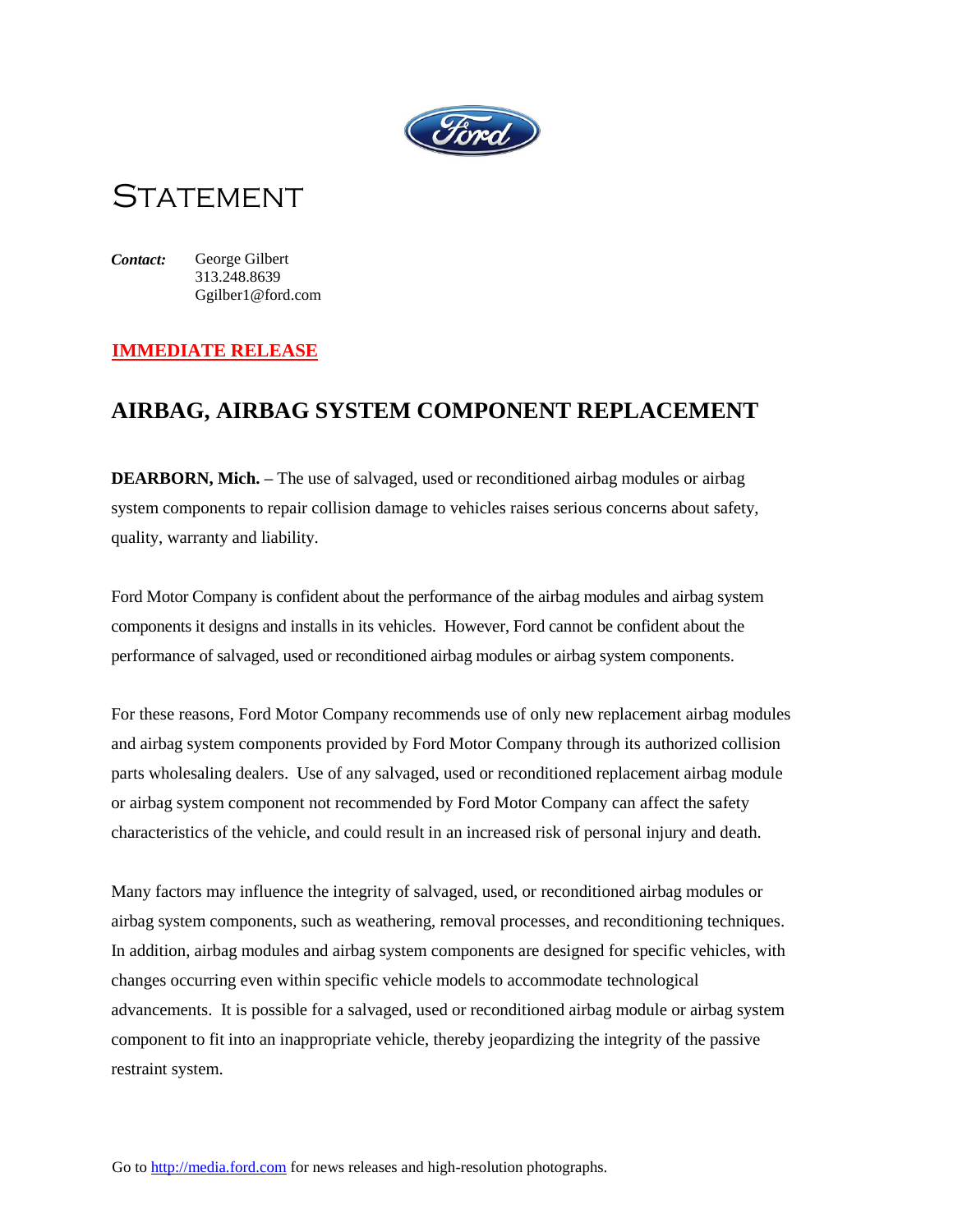

# **STATEMENT**

*Contact:* George Gilbert 313.248.8639 Ggilber1@ford.com

### **IMMEDIATE RELEASE**

## **AIRBAG, AIRBAG SYSTEM COMPONENT REPLACEMENT**

**DEARBORN, Mich. –** The use of salvaged, used or reconditioned airbag modules or airbag system components to repair collision damage to vehicles raises serious concerns about safety, quality, warranty and liability.

Ford Motor Company is confident about the performance of the airbag modules and airbag system components it designs and installs in its vehicles. However, Ford cannot be confident about the performance of salvaged, used or reconditioned airbag modules or airbag system components.

For these reasons, Ford Motor Company recommends use of only new replacement airbag modules and airbag system components provided by Ford Motor Company through its authorized collision parts wholesaling dealers. Use of any salvaged, used or reconditioned replacement airbag module or airbag system component not recommended by Ford Motor Company can affect the safety characteristics of the vehicle, and could result in an increased risk of personal injury and death.

Many factors may influence the integrity of salvaged, used, or reconditioned airbag modules or airbag system components, such as weathering, removal processes, and reconditioning techniques. In addition, airbag modules and airbag system components are designed for specific vehicles, with changes occurring even within specific vehicle models to accommodate technological advancements. It is possible for a salvaged, used or reconditioned airbag module or airbag system component to fit into an inappropriate vehicle, thereby jeopardizing the integrity of the passive restraint system.